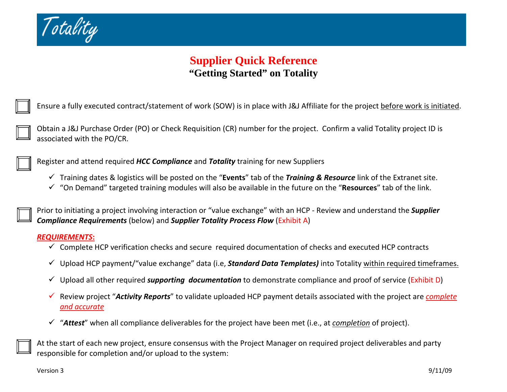

# **Supplier Quick Reference "Getting Started" on Totality**

Ensure a fully executed contract/statement of work (SOW) is in place with J&J Affiliate for the project <u>before work is initiated</u>.

Obtain <sup>a</sup> J&J Purchase Order (PO) or Check Requisition (CR) number for the project. Confirm <sup>a</sup> valid Totality project ID is associated with the PO/CR.

Register and attend required *HCC Compliance* and *Totality* training for new Suppliers

- 9 Training dates & logistics will be posted on the "**Events**" tab of the *Training & Resource* link of the Extranet site.
- 9 "On Demand" targeted training modules will also be available in the future on the "**Resources**" tab of the link.

Prior to initiating <sup>a</sup> project involving interaction or "value exchange" with an HCP ‐ Review and understand the *Supplier Compliance Requirements* (below) and *Supplier Totality Process Flow* (Exhibit A)

#### *REQUIREMENTS***:**

- $\checkmark$  Complete HCP verification checks and secure required documentation of checks and executed HCP contracts
- 9 Upload HCP payment/"value exchange" data (i.e, *Standard Data Templates)* into Totality within required timeframes.
- 9 Upload all other required *supporting documentation* to demonstrate compliance and proof of service (Exhibit D)
- 9 Review project "*Activity Reports*" to validate uploaded HCP payment details associated with the project are *complete and accurate*
- 9 "*Attest*" when all compliance deliverables for the project have been met (i.e., at *completion* of project).

At the start of each new project, ensure consensus with the Project Manager on required project deliverables and party responsible for completion and/or upload to the system: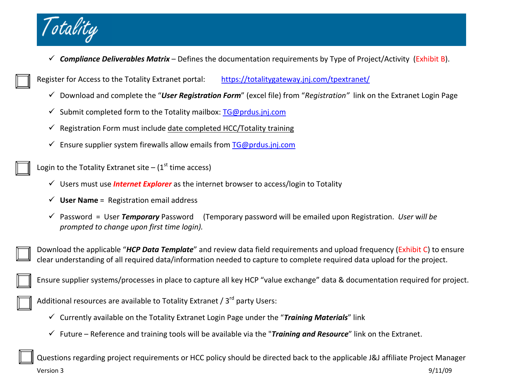

9 *Compliance Deliverables Matrix* – Defines the documentation requirements by Type of Project/Activity (Exhibit B).

Register for Access to the Totality Extranet portal: <https://totalitygateway.jnj.com/tpextranet/>

- 9 Download and complete the "*User Registration Form*" (excel file) from "*Registration"* link on the Extranet Login Page
- √ Submit completed form to the Totality mailbox: [TG@prdus.jnj.com](mailto:TG@prdus.jnj.com)
- $\checkmark$  Registration Form must include date completed HCC/Totality training
- $\checkmark$  Ensure supplier system firewalls allow emails from [TG@prdus.jnj.com](mailto:TG@prdus.jnj.com)

Login to the Totality Extranet site –  $(1<sup>st</sup>$  time access)

- 9 Users must use *Internet Explorer* as the internet browser to access/login to Totality
- $\checkmark$  **User Name** = Registration email address
- $\checkmark$  Password = User Temporary Password Password <sup>=</sup> User *Temporary* Password (Temporary password will be emailed upon Registration. *User* <sup>w</sup>*ill be prompted to change upon first time login).*

Download the applicable "*HCP Data Template*" and review data field requirements and upload frequency (Exhibit C) to ensure clear understanding of all required data/information needed to capture to complete required data upload for the project.

Ensure supplier systems/processes in place to capture all key HCP "value exchange" data & documentation required for project.

Additional resources are available to Totality Extranet / 3<sup>rd</sup> party Users:

- 9 Currently available on the Totality Extranet Login Page under the "*Training Materials*" link
- 9 Future Reference and training tools will be available via the "*Training and Resource*" link on the Extranet.

Version 3 9/11/09 Questions regarding project requirements or HCC policy should be directed back to the applicable J&J affiliate Project Manager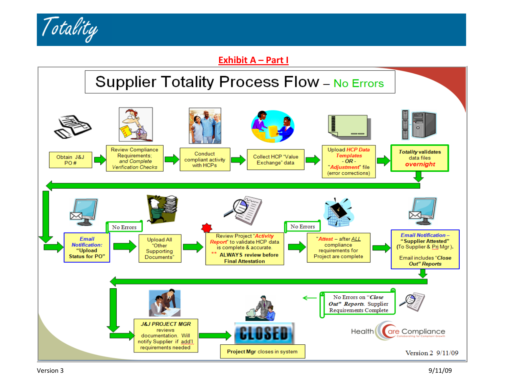

### **Exhibit A – Part I**

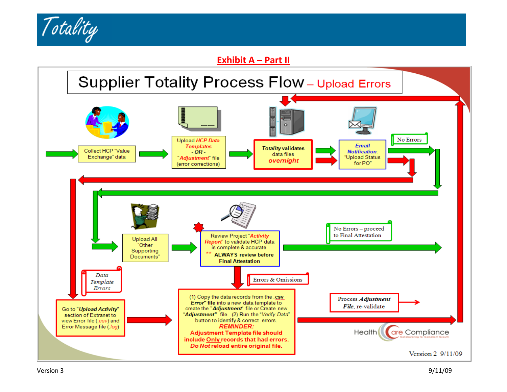

#### **Exhibit A – Part II**

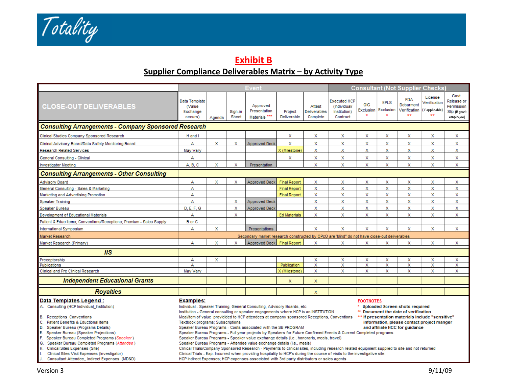Totality

# **Exhibit B Supplier Compliance Deliverables Matrix – by Activity Type**

|                                                                                                                                                                                                                                                                                                                                                                             |                                                                                                                                                                                                                                                                                                                                                                                                                                                                                                                                                                                                                                                                                                                                                                                                                                                                                                                                                                                                                                                     |             |                           | <b>Event</b>                                                                                 |                        |                                           |                                                                 |                         |                               |                                               | <b>Consultant (Not Supplier Checks)</b>          |                                                                  |
|-----------------------------------------------------------------------------------------------------------------------------------------------------------------------------------------------------------------------------------------------------------------------------------------------------------------------------------------------------------------------------|-----------------------------------------------------------------------------------------------------------------------------------------------------------------------------------------------------------------------------------------------------------------------------------------------------------------------------------------------------------------------------------------------------------------------------------------------------------------------------------------------------------------------------------------------------------------------------------------------------------------------------------------------------------------------------------------------------------------------------------------------------------------------------------------------------------------------------------------------------------------------------------------------------------------------------------------------------------------------------------------------------------------------------------------------------|-------------|---------------------------|----------------------------------------------------------------------------------------------|------------------------|-------------------------------------------|-----------------------------------------------------------------|-------------------------|-------------------------------|-----------------------------------------------|--------------------------------------------------|------------------------------------------------------------------|
| <b>CLOSE-OUT DELIVERABLES</b>                                                                                                                                                                                                                                                                                                                                               | Data Template<br>(Value<br>Exchange<br>occurs)                                                                                                                                                                                                                                                                                                                                                                                                                                                                                                                                                                                                                                                                                                                                                                                                                                                                                                                                                                                                      | Agenda      | Sign-in<br>Sheet          | Approved<br>Presentation<br>Materials <sup>***</sup>                                         | Project<br>Deliverable | Attest<br><b>Deliverables</b><br>Complete | <b>Executed HCP</b><br>(Individual/<br>Institution)<br>Contract | OIG<br>Exclusion        | <b>EPLS</b><br>Exclusion<br>÷ | <b>FDA</b><br>Debarment<br>Verification<br>÷÷ | License<br>Verification<br>(if applicable)<br>** | Govt.<br>Release or<br>Permission<br>Slip (if gov't<br>employee) |
|                                                                                                                                                                                                                                                                                                                                                                             | <b>Consulting Arrangements - Company Sponsored Research</b>                                                                                                                                                                                                                                                                                                                                                                                                                                                                                                                                                                                                                                                                                                                                                                                                                                                                                                                                                                                         |             |                           |                                                                                              |                        |                                           |                                                                 |                         |                               |                                               |                                                  |                                                                  |
| Clinical Studies Company Sponsored Research                                                                                                                                                                                                                                                                                                                                 | H and I                                                                                                                                                                                                                                                                                                                                                                                                                                                                                                                                                                                                                                                                                                                                                                                                                                                                                                                                                                                                                                             |             |                           |                                                                                              | x                      | X                                         | x                                                               | x                       | x                             | x                                             | x                                                | Х                                                                |
| Clinical Advisory Board/Data Safety Monitoring Board                                                                                                                                                                                                                                                                                                                        | А                                                                                                                                                                                                                                                                                                                                                                                                                                                                                                                                                                                                                                                                                                                                                                                                                                                                                                                                                                                                                                                   | X           | х                         | <b>Approved Deck</b>                                                                         | X                      | x                                         | x                                                               | x                       | Х                             | x                                             | Х                                                | Х                                                                |
| <b>Research Related Services</b>                                                                                                                                                                                                                                                                                                                                            | May Vary                                                                                                                                                                                                                                                                                                                                                                                                                                                                                                                                                                                                                                                                                                                                                                                                                                                                                                                                                                                                                                            |             |                           |                                                                                              | X (Milestone)          | x                                         | x                                                               | X                       | X                             | x                                             | x                                                | Х                                                                |
| General Consulting - Clinical                                                                                                                                                                                                                                                                                                                                               | А                                                                                                                                                                                                                                                                                                                                                                                                                                                                                                                                                                                                                                                                                                                                                                                                                                                                                                                                                                                                                                                   |             |                           |                                                                                              | X                      | x                                         | X                                                               | X                       | X                             | X                                             | x                                                | X                                                                |
| Investigator Meeting                                                                                                                                                                                                                                                                                                                                                        | A, B, C                                                                                                                                                                                                                                                                                                                                                                                                                                                                                                                                                                                                                                                                                                                                                                                                                                                                                                                                                                                                                                             | x           | X                         | Presentation                                                                                 |                        | X                                         | X                                                               | x                       | X                             | X                                             | X                                                | x                                                                |
| <b>Consulting Arrangements - Other Consulting</b>                                                                                                                                                                                                                                                                                                                           |                                                                                                                                                                                                                                                                                                                                                                                                                                                                                                                                                                                                                                                                                                                                                                                                                                                                                                                                                                                                                                                     |             |                           |                                                                                              |                        |                                           |                                                                 |                         |                               |                                               |                                                  |                                                                  |
| Advisory Board                                                                                                                                                                                                                                                                                                                                                              | А                                                                                                                                                                                                                                                                                                                                                                                                                                                                                                                                                                                                                                                                                                                                                                                                                                                                                                                                                                                                                                                   | X           | x                         | <b>Approved Deck</b>                                                                         | <b>Final Report</b>    | x                                         | X                                                               | X                       | X                             | X                                             | x                                                | X                                                                |
| General Consulting - Sales & Marketing                                                                                                                                                                                                                                                                                                                                      | А                                                                                                                                                                                                                                                                                                                                                                                                                                                                                                                                                                                                                                                                                                                                                                                                                                                                                                                                                                                                                                                   |             |                           |                                                                                              | <b>Final Report</b>    | x                                         | $\mathbf x$                                                     | X                       | $\mathsf{x}$                  | $\mathsf{x}$                                  | x                                                | $\mathsf X$                                                      |
| Marketing and Advertising Promotion                                                                                                                                                                                                                                                                                                                                         | А                                                                                                                                                                                                                                                                                                                                                                                                                                                                                                                                                                                                                                                                                                                                                                                                                                                                                                                                                                                                                                                   |             |                           |                                                                                              | <b>Final Report</b>    | X                                         | X                                                               | X                       | $\mathsf{x}$                  | X                                             | X                                                | X                                                                |
| Speaker Training                                                                                                                                                                                                                                                                                                                                                            | A                                                                                                                                                                                                                                                                                                                                                                                                                                                                                                                                                                                                                                                                                                                                                                                                                                                                                                                                                                                                                                                   |             | х                         | <b>Approved Deck</b>                                                                         |                        | x                                         | X                                                               | $\mathsf X$             | x                             | x                                             | x                                                | Х                                                                |
| Speaker Bureau                                                                                                                                                                                                                                                                                                                                                              | <b>D. E. F. G</b>                                                                                                                                                                                                                                                                                                                                                                                                                                                                                                                                                                                                                                                                                                                                                                                                                                                                                                                                                                                                                                   |             | $\boldsymbol{\mathsf{x}}$ | <b>Approved Deck</b>                                                                         |                        | x                                         | x                                                               | x                       | x                             | x                                             | x                                                | X                                                                |
| Development of Educational Materials                                                                                                                                                                                                                                                                                                                                        | A                                                                                                                                                                                                                                                                                                                                                                                                                                                                                                                                                                                                                                                                                                                                                                                                                                                                                                                                                                                                                                                   |             | X                         |                                                                                              | <b>Ed Materials</b>    | x                                         | x                                                               | $\mathbf{x}$            | X                             | x                                             | X                                                | X                                                                |
| Patient & Educ Items; Conventions/Receptions; Premium - Sales Supply                                                                                                                                                                                                                                                                                                        | <b>B</b> or C                                                                                                                                                                                                                                                                                                                                                                                                                                                                                                                                                                                                                                                                                                                                                                                                                                                                                                                                                                                                                                       |             |                           |                                                                                              |                        |                                           |                                                                 |                         |                               |                                               |                                                  |                                                                  |
| International Symposium                                                                                                                                                                                                                                                                                                                                                     | А                                                                                                                                                                                                                                                                                                                                                                                                                                                                                                                                                                                                                                                                                                                                                                                                                                                                                                                                                                                                                                                   | $\mathbf x$ |                           | Presentations                                                                                |                        | X                                         | $\mathbf x$                                                     | $\mathbf x$             | X                             | X                                             | X                                                | $\mathbf x$                                                      |
| Market Research                                                                                                                                                                                                                                                                                                                                                             |                                                                                                                                                                                                                                                                                                                                                                                                                                                                                                                                                                                                                                                                                                                                                                                                                                                                                                                                                                                                                                                     |             |                           | Secondary market research constructed by OPcO are 'blind" do not have close-out deliverables |                        |                                           |                                                                 |                         |                               |                                               |                                                  |                                                                  |
| Market Research (Primary)                                                                                                                                                                                                                                                                                                                                                   | А                                                                                                                                                                                                                                                                                                                                                                                                                                                                                                                                                                                                                                                                                                                                                                                                                                                                                                                                                                                                                                                   | x           | X                         | Approved Deck Final Report                                                                   |                        | x                                         | x                                                               | x                       | x                             | x                                             | X                                                | x                                                                |
| IIS                                                                                                                                                                                                                                                                                                                                                                         |                                                                                                                                                                                                                                                                                                                                                                                                                                                                                                                                                                                                                                                                                                                                                                                                                                                                                                                                                                                                                                                     |             |                           |                                                                                              |                        |                                           |                                                                 |                         |                               |                                               |                                                  |                                                                  |
| Preceptorship                                                                                                                                                                                                                                                                                                                                                               | А                                                                                                                                                                                                                                                                                                                                                                                                                                                                                                                                                                                                                                                                                                                                                                                                                                                                                                                                                                                                                                                   | x           |                           |                                                                                              |                        | X                                         | х                                                               | x                       | X                             | x                                             | x                                                | Х                                                                |
| Publications                                                                                                                                                                                                                                                                                                                                                                | A                                                                                                                                                                                                                                                                                                                                                                                                                                                                                                                                                                                                                                                                                                                                                                                                                                                                                                                                                                                                                                                   |             |                           |                                                                                              | <b>Publication</b>     | x                                         | Х                                                               | $\overline{\mathsf{x}}$ | $\overline{\mathsf{x}}$       | X                                             | x                                                | X                                                                |
| Clinical and Pre Clinical Research                                                                                                                                                                                                                                                                                                                                          | May Vary                                                                                                                                                                                                                                                                                                                                                                                                                                                                                                                                                                                                                                                                                                                                                                                                                                                                                                                                                                                                                                            |             |                           |                                                                                              | X (Milestone)          | x                                         | X                                                               | X                       | X                             | x                                             | X                                                | X                                                                |
| <b>Independent Educational Grants</b>                                                                                                                                                                                                                                                                                                                                       |                                                                                                                                                                                                                                                                                                                                                                                                                                                                                                                                                                                                                                                                                                                                                                                                                                                                                                                                                                                                                                                     |             |                           |                                                                                              | x                      | X                                         |                                                                 |                         |                               |                                               |                                                  |                                                                  |
| <b>Royalties</b>                                                                                                                                                                                                                                                                                                                                                            |                                                                                                                                                                                                                                                                                                                                                                                                                                                                                                                                                                                                                                                                                                                                                                                                                                                                                                                                                                                                                                                     |             |                           |                                                                                              |                        | $\mathsf{x}$                              |                                                                 |                         |                               |                                               |                                                  |                                                                  |
| Data Templates Legend:<br>A. Consulting (HCP Individual Institution)                                                                                                                                                                                                                                                                                                        | <b>Examples:</b><br><b>FOOTNOTES</b><br>Individual - Speaker Training, General Consulting, Advisory Boards, etc.<br><b>Uploaded Screen shots required</b>                                                                                                                                                                                                                                                                                                                                                                                                                                                                                                                                                                                                                                                                                                                                                                                                                                                                                           |             |                           |                                                                                              |                        |                                           |                                                                 |                         |                               |                                               |                                                  |                                                                  |
| <b>B.</b> Receptions Conventions<br>Patient Benefits & Eductional Items<br>LC.<br>ID.<br>Speaker Bureau (Programs Details)<br>IE.<br>Speaker Bureau (Speaker Projections)<br>Speaker Bureau Completed Programs (Speaker)<br>IG.<br>Speaker Bureau Completed Programs (Attendee)<br>H. Clinical Sites Expenses (Site)<br>Clinical Sites Visit Expenses (Investigator)<br>IJ. | Institution - General consulting or speaker engagements where HCP is an INSTITUTION<br>** Document the date of verification<br>Meal/item of value providided to HCP attendees at company sponsored Receptions, Conventions<br>*** If presentation materials include "sensitive"<br>Textbook programs; Subscriptions<br>information, please contact project manger<br>Speaker Bureau Programs - Costs associated with the SB PROGRAM<br>and affiliate HCC for guidance<br>Speaker Bureau Programs - Full year projects by Speakers for Future Confirmed Events & Current Completed programs<br>Speaker Bureau Programs - Speaker value exchange details (i.e., honoraria, meals, travel)<br>Speaker Bureau Programs - Attendee value exchange details (i.e., meals)<br>Clinical Trials/Company Sponsored Research - Payments to clinical sites, including research related equipment supplied to site and not returned<br>Clinical Trials - Exp. Incurred when providing hospitality to HCP's during the course of visits to the investigative site. |             |                           |                                                                                              |                        |                                           |                                                                 |                         |                               |                                               |                                                  |                                                                  |
| Consultant Attendee Indirect Expenses (MD&D)<br>HCP Indirect Expenses; HCP expenses associated with 3rd party distributors or sales agents                                                                                                                                                                                                                                  |                                                                                                                                                                                                                                                                                                                                                                                                                                                                                                                                                                                                                                                                                                                                                                                                                                                                                                                                                                                                                                                     |             |                           |                                                                                              |                        |                                           |                                                                 |                         |                               |                                               |                                                  |                                                                  |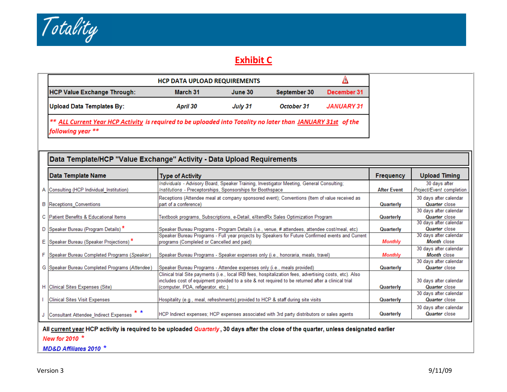

# **Exhibit C**

| <b>HCP Value Exchange Through:</b>                                                                                                          | March 31 | June 30 | September 30 | December 31 |
|---------------------------------------------------------------------------------------------------------------------------------------------|----------|---------|--------------|-------------|
| Upload Data Templates By:                                                                                                                   | April 30 | July 31 | October 31   | JANUARY 31  |
| <sup>**</sup> ALL Current Year HCP Activity is required to be uploaded into Totality no later than JANUARY 31st of the<br>following year ** |          |         |              |             |

| Data Template/HCP "Value Exchange" Activity - Data Upload Requirements   |                                                                                                                                                                                                               |                        |                                                                          |  |  |  |  |
|--------------------------------------------------------------------------|---------------------------------------------------------------------------------------------------------------------------------------------------------------------------------------------------------------|------------------------|--------------------------------------------------------------------------|--|--|--|--|
| Data Template Name                                                       | <b>Type of Activity</b>                                                                                                                                                                                       | <b>Frequency</b>       | <b>Upload Timing</b>                                                     |  |  |  |  |
| A Consulting (HCP Individual Institution)                                | Individuals - Advisory Board, Speaker Training, Investigator Meeting, General Consulting;<br>Institutions - Preceptorships, Sponsorships for Boothspace                                                       | <b>After Event</b>     | 30 days after<br>Project/Event completion                                |  |  |  |  |
| <b>B</b> Receptions Conventions                                          | Receptions (Attendee meal at company sponsored event); Conventions (Item of value received as<br>part of a conference)                                                                                        | Quarterly              | 30 days after calendar<br><b>Quarter</b> close                           |  |  |  |  |
| C Patient Benefits & Educational Items                                   | Textbook programs, Subscriptions, e-Detail, eXtendRx Sales Optimization Program                                                                                                                               | Quarterly              | 30 days after calendar<br><b>Quarter</b> close                           |  |  |  |  |
| D Speaker Bureau (Program Details) *                                     | Speaker Bureau Programs - Program Details (i.e., venue, # attendees, attendee cost/meal, etc)<br>Speaker Bureau Programs - Full year projects by Speakers for Future Confirmed events and Current             | Quarterly              | 30 days after calendar<br><b>Quarter</b> close<br>30 days after calendar |  |  |  |  |
| E Speaker Bureau (Speaker Projections) *                                 | programs (Compleled or Cancelled and paid)                                                                                                                                                                    | <b>Monthly</b>         | <b>Month</b> close                                                       |  |  |  |  |
| Speaker Bureau Completed Programs (Speaker)                              | Speaker Bureau Programs - Speaker expenses only (i.e., honoraria, meals, travel)                                                                                                                              | <b>Monthly</b>         | 30 days after calendar<br><b>Month</b> close                             |  |  |  |  |
| G Speaker Bureau Completed Programs (Attendee)                           | Speaker Bureau Programs - Attendee expenses only (i.e., meals provided)                                                                                                                                       | Quarterly              | 30 days after calendar<br>Quarter close                                  |  |  |  |  |
|                                                                          | Clinical trial Site payments (i.e., local IRB fees, hospitalization fees, advertising costs, etc). Also<br>includes cost of equipment provided to a site & not required to be returned after a clinical trial |                        | 30 days after calendar                                                   |  |  |  |  |
| H Clinical Sites Expenses (Site)<br><b>Clinical Sites Visit Expenses</b> | (computer, PDA, refigerator, etc.)<br>Hospitality (e.g., meal, refreshments) provided to HCP & staff during site visits                                                                                       | Quarterly<br>Quarterly | Quarter close<br>30 days after calendar<br>Quarter close                 |  |  |  |  |
| * *<br>Consultant Attendee Indirect Expenses                             | HCP Indirect expenses; HCP expenses associated with 3rd party distributors or sales agents                                                                                                                    | Quarterly              | 30 days after calendar<br>Quarter close                                  |  |  |  |  |

#### All current year HCP activity is required to be uploaded Quarterly, 30 days after the close of the quarter, unless designated earlier

New for 2010 \*

MD&D Affiliates 2010 \*